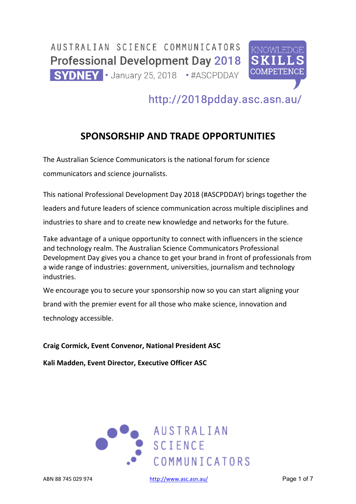### AUSTRALIAN SCIENCE COMMUNICATORS **Professional Development Day 2018 SYDNEY** · January 25, 2018 · #ASCPDDAY



## http://2018pdday.asc.asn.au/

### **SPONSORSHIP AND TRADE OPPORTUNITIES**

The Australian Science Communicators is the national forum for science communicators and science journalists.

This national Professional Development Day 2018 (#ASCPDDAY) brings together the leaders and future leaders of science communication across multiple disciplines and industries to share and to create new knowledge and networks for the future.

Take advantage of a unique opportunity to connect with influencers in the science and technology realm. The Australian Science Communicators Professional Development Day gives you a chance to get your brand in front of professionals from a wide range of industries: government, universities, journalism and technology industries.

We encourage you to secure your sponsorship now so you can start aligning your brand with the premier event for all those who make science, innovation and technology accessible.

**Craig Cormick, Event Convenor, National President ASC** 

**Kali Madden, Event Director, Executive Officer ASC** 



ABN 88 745 029 974 http://www.asc.asn.au/ Page 1 of 7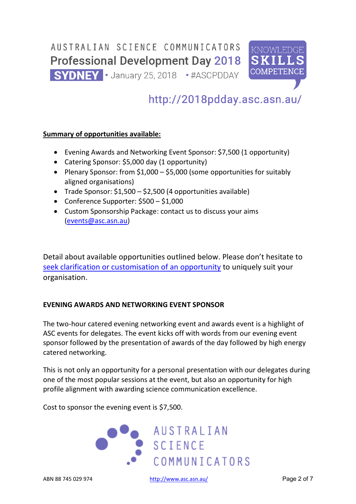

**SYDNEY** · January 25, 2018 · #ASCPDDAY

# http://2018pdday.asc.asn.au/

### **Summary of opportunities available:**

- Evening Awards and Networking Event Sponsor: \$7,500 (1 opportunity)
- Catering Sponsor: \$5,000 day (1 opportunity)
- Plenary Sponsor: from \$1,000 \$5,000 (some opportunities for suitably aligned organisations)
- Trade Sponsor:  $$1,500 $2,500$  (4 opportunities available)
- Conference Supporter: \$500 \$1,000
- Custom Sponsorship Package: contact us to discuss your aims (events@asc.asn.au)

Detail about available opportunities outlined below. Please don't hesitate to seek clarification or customisation of an opportunity to uniquely suit your organisation.

### **EVENING AWARDS AND NETWORKING EVENT SPONSOR**

The two-hour catered evening networking event and awards event is a highlight of ASC events for delegates. The event kicks off with words from our evening event sponsor followed by the presentation of awards of the day followed by high energy catered networking.

This is not only an opportunity for a personal presentation with our delegates during one of the most popular sessions at the event, but also an opportunity for high profile alignment with awarding science communication excellence.

Cost to sponsor the evening event is \$7,500.



ABN 88 745 029 974 http://www.asc.asn.au/ Page 2 of 7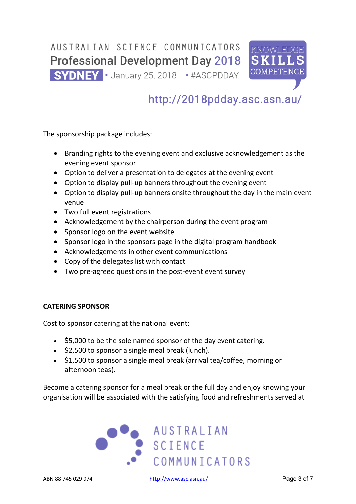

**SYDNEY** · January 25, 2018 · #ASCPDDAY

# http://2018pdday.asc.asn.au/

The sponsorship package includes:

- Branding rights to the evening event and exclusive acknowledgement as the evening event sponsor
- Option to deliver a presentation to delegates at the evening event
- Option to display pull-up banners throughout the evening event
- Option to display pull-up banners onsite throughout the day in the main event venue
- Two full event registrations
- Acknowledgement by the chairperson during the event program
- Sponsor logo on the event website
- Sponsor logo in the sponsors page in the digital program handbook
- Acknowledgements in other event communications
- Copy of the delegates list with contact
- Two pre-agreed questions in the post-event event survey

### **CATERING SPONSOR**

Cost to sponsor catering at the national event:

- \$5,000 to be the sole named sponsor of the day event catering.
- \$2,500 to sponsor a single meal break (lunch).
- \$1,500 to sponsor a single meal break (arrival tea/coffee, morning or afternoon teas).

Become a catering sponsor for a meal break or the full day and enjoy knowing your organisation will be associated with the satisfying food and refreshments served at

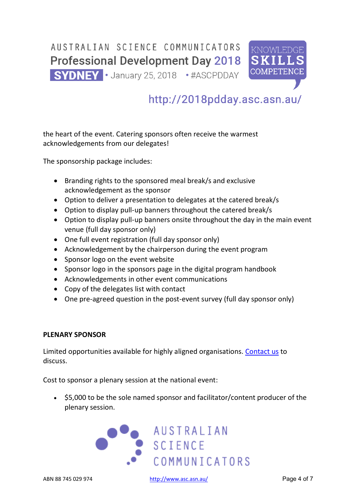

**SYDNEY** · January 25, 2018 · #ASCPDDAY

## http://2018pdday.asc.asn.au/

the heart of the event. Catering sponsors often receive the warmest acknowledgements from our delegates!

The sponsorship package includes:

- Branding rights to the sponsored meal break/s and exclusive acknowledgement as the sponsor
- Option to deliver a presentation to delegates at the catered break/s
- Option to display pull-up banners throughout the catered break/s
- Option to display pull-up banners onsite throughout the day in the main event venue (full day sponsor only)
- One full event registration (full day sponsor only)
- Acknowledgement by the chairperson during the event program
- Sponsor logo on the event website
- Sponsor logo in the sponsors page in the digital program handbook
- Acknowledgements in other event communications
- Copy of the delegates list with contact
- One pre-agreed question in the post-event survey (full day sponsor only)

### **PLENARY SPONSOR**

Limited opportunities available for highly aligned organisations. Contact us to discuss.

Cost to sponsor a plenary session at the national event:

• \$5,000 to be the sole named sponsor and facilitator/content producer of the plenary session.



ABN 88 745 029 974 http://www.asc.asn.au/ Page 4 of 7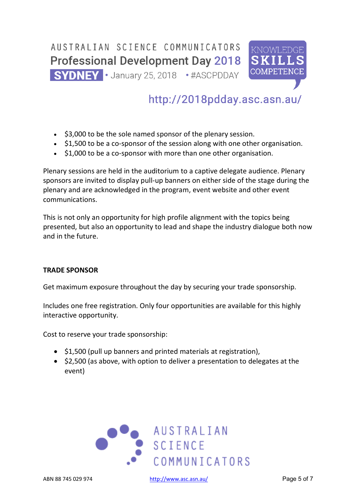

**SYDNEY** · January 25, 2018 · #ASCPDDAY

## http://2018pdday.asc.asn.au/

- \$3,000 to be the sole named sponsor of the plenary session.
- \$1,500 to be a co-sponsor of the session along with one other organisation.
- \$1,000 to be a co-sponsor with more than one other organisation.

Plenary sessions are held in the auditorium to a captive delegate audience. Plenary sponsors are invited to display pull-up banners on either side of the stage during the plenary and are acknowledged in the program, event website and other event communications.

This is not only an opportunity for high profile alignment with the topics being presented, but also an opportunity to lead and shape the industry dialogue both now and in the future.

### **TRADE SPONSOR**

Get maximum exposure throughout the day by securing your trade sponsorship.

Includes one free registration. Only four opportunities are available for this highly interactive opportunity.

Cost to reserve your trade sponsorship:

- \$1,500 (pull up banners and printed materials at registration),
- \$2,500 (as above, with option to deliver a presentation to delegates at the event)



ABN 88 745 029 974 http://www.asc.asn.au/ Page 5 of 7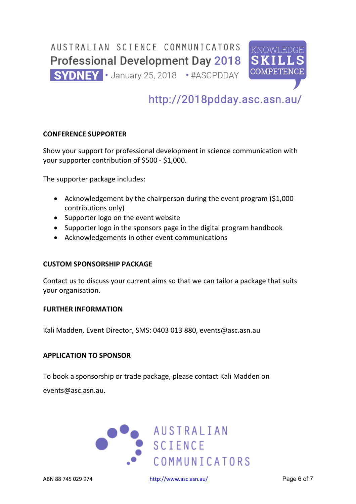

**SYDNEY** · January 25, 2018 · #ASCPDDAY

## http://2018pdday.asc.asn.au/

### **CONFERENCE SUPPORTER**

Show your support for professional development in science communication with your supporter contribution of \$500 - \$1,000.

The supporter package includes:

- Acknowledgement by the chairperson during the event program (\$1,000 contributions only)
- Supporter logo on the event website
- Supporter logo in the sponsors page in the digital program handbook
- Acknowledgements in other event communications

#### **CUSTOM SPONSORSHIP PACKAGE**

Contact us to discuss your current aims so that we can tailor a package that suits your organisation.

#### **FURTHER INFORMATION**

Kali Madden, Event Director, SMS: 0403 013 880, events@asc.asn.au

### **APPLICATION TO SPONSOR**

To book a sponsorship or trade package, please contact Kali Madden on

events@asc.asn.au.



ABN 88 745 029 974 http://www.asc.asn.au/ Page 6 of 7